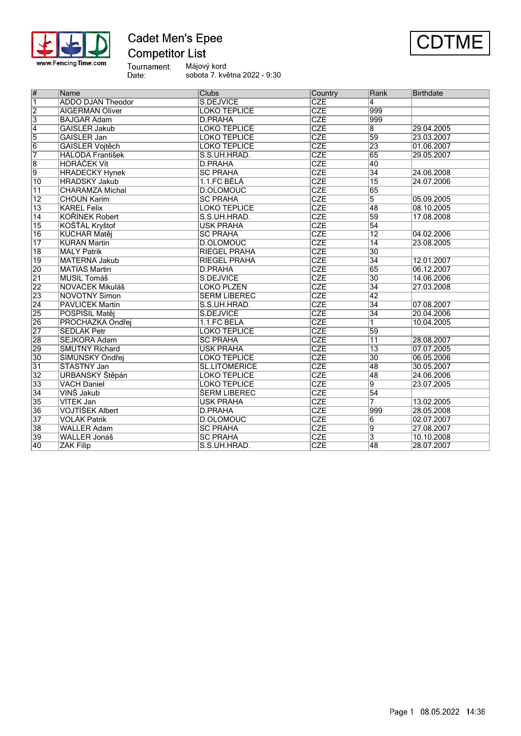

## **Cadet Men's Epee Competitor List**



Tournament:<br>Date:

Májový kord sobota 7. května 2022 - 9:30

| #                         | Name                     | <b>Clubs</b>               | Country    | Rank            | <b>Birthdate</b> |
|---------------------------|--------------------------|----------------------------|------------|-----------------|------------------|
| $\overline{\mathbb{1}}$   | <b>ADDO DJAN Theodor</b> | S.DEJVICE                  | <b>CZE</b> | 4               |                  |
| $\overline{2}$            | <b>AIGERMAN Oliver</b>   | <b>LOKO TEPLICE</b>        | <b>CZE</b> | 999             |                  |
| $\overline{\overline{3}}$ | <b>BAJGAR Adam</b>       | <b>D.PRAHA</b>             | <b>CZE</b> | 999             |                  |
| $\overline{4}$            | <b>GAISLER Jakub</b>     | <b>LOKO TEPLICE</b>        | <b>CZE</b> | 8               | 29.04.2005       |
| $\overline{5}$            | GAISLER Jan              | <b>LOKO TEPLICE</b>        | CZE        | 59              | 23.03.2007       |
| $\overline{6}$            | <b>GAISLER Vojtěch</b>   | <b>LOKO TEPLICE</b>        | <b>CZE</b> | 23              | 01.06.2007       |
| 7                         | <b>HALODA František</b>  | S.S.UH.HRAD.               | <b>CZE</b> | 65              | 29.05.2007       |
| $\overline{\mathbf{8}}$   | <b>HORAČEK Vít</b>       | <b>D.PRAHA</b>             | CZE        | 40              |                  |
| $\overline{9}$            | <b>HRADECKÝ Hynek</b>    | <b>SC PRAHA</b>            | <b>CZE</b> | $\overline{34}$ | 24.06.2008       |
| $\overline{10}$           | <b>HRADSKÝ Jakub</b>     | 1.1.FC BELA                | CZE        | $\overline{15}$ | 24.07.2006       |
| $\overline{11}$           | <b>CHARAMZA Michal</b>   | D.OLOMOUC                  | CZE        | 65              |                  |
| $\overline{12}$           | <b>CHOUN Karím</b>       | <b>SC PRAHA</b>            | <b>CZE</b> | $\overline{5}$  | 05.09.2005       |
| $\overline{13}$           | <b>KAREL Felix</b>       | <b>LOKO TEPLICE</b>        | <b>CZE</b> | 48              | 08.10.2005       |
| $\overline{14}$           | <b>KOŘÍNEK Robert</b>    | S.S.UH.HRAD.               | <b>CZE</b> | 59              | 17.08.2008       |
| $\overline{15}$           | KOŠŤAL Kryštof           | <b>USK PRAHA</b>           | <b>CZE</b> | $\overline{54}$ |                  |
| $\overline{16}$           | <b>KUCHAŘ Matěj</b>      | <b>SC PRAHA</b>            | CZE        | $\overline{12}$ | 04.02.2006       |
| $\overline{17}$           | <b>KURAN Martin</b>      | <b>D.OLOMOUC</b>           | CZE        | $\overline{14}$ | 23.08.2005       |
| $\overline{18}$           | <b>MALÝ Patrik</b>       | <b>RIEGEL PRAHA</b>        | <b>CZE</b> | 30              |                  |
| 19                        | <b>MATERNA Jakub</b>     | <b>RIEGEL PRAHA</b>        | <b>CZE</b> | 34              | 12.01.2007       |
| 20                        | MATIÁŠ Martin            | D.PRAHA                    | <b>CZE</b> | 65              | 06.12.2007       |
| $\overline{21}$           | <b>MUSIL Tomáš</b>       | S.DEJVICE                  | <b>CZE</b> | $\overline{30}$ | 14.06.2006       |
| $\overline{22}$           | NOVÁČEK Mikuláš          | LOKO PLZEŇ                 | CZE        | $\overline{34}$ | 27.03.2008       |
| 23                        | <b>NOVOTNÝ Šimon</b>     | <b><i>SERM LIBEREC</i></b> | CZE        | 42              |                  |
| $\overline{24}$           | <b>PAVLICEK Martin</b>   | S.S.UH.HRAD.               | CZE        | 34              | 07.08.2007       |
| $\overline{25}$           | POSPÍŠIL Matěj           | S.DEJVICE                  | <b>CZE</b> | $\overline{34}$ | 20.04.2006       |
| 26                        | PROCHÁZKA Ondřej         | 1.1.FC BELA                | CZE        | 1               | 10.04.2005       |
| $\overline{27}$           | <b>SEDLAK Petr</b>       | <b>LOKO TEPLICE</b>        | CZE        | 59              |                  |
| 28                        | <b>SEJKORA Adam</b>      | <b>SC PRAHA</b>            | <b>CZE</b> | $\overline{11}$ | 28.08.2007       |
| 29                        | <b>SMUTNÝ Richard</b>    | <b>USK PRAHA</b>           | CZE        | $\overline{13}$ | 07.07.2005       |
| $\overline{30}$           | ŠIMŮNSKÝ Ondřej          | <b>LOKO TEPLICE</b>        | <b>CZE</b> | 30              | 06.05.2006       |
| $\overline{31}$           | ŠŤASTNÝ Jan              | SL.LITOMĚŘICE              | <b>CZE</b> | 48              | 30.05.2007       |
| $\overline{32}$           | <b>URBANSKÝ Štěpán</b>   | <b>LOKO TEPLICE</b>        | CZE        | 48              | 24.06.2006       |
| $\overline{33}$           | <b>VACH Daniel</b>       | <b>LOKO TEPLICE</b>        | <b>CZE</b> | g               | 23.07.2005       |
| $\overline{34}$           | VINŠ Jakub               | <b><i>SERM LIBEREC</i></b> | CZE        | 54              |                  |
| 35                        | VITEK Jan                | <b>USK PRAHA</b>           | CZE        | 7               | 13.02.2005       |
| $\overline{36}$           | <b>VOJTÍŠEK Albert</b>   | <b>D.PRAHA</b>             | <b>CZE</b> | 999             | 28.05.2008       |
| $\overline{37}$           | <b>VOLÁK Patrik</b>      | D.OLOMOUC                  | <b>CZE</b> | 6               | 02.07.2007       |
| $\overline{38}$           | <b>WALLER Adam</b>       | <b>SC PRAHA</b>            | <b>CZE</b> | $\overline{9}$  | 27.08.2007       |
| 39                        | <b>WALLER Jonáš</b>      | <b>SC PRAHA</b>            | <b>CZE</b> | $\overline{3}$  | 10.10.2008       |
| 40                        | ŽÁK Filip                | S.S.UH.HRAD.               | <b>CZE</b> | 48              | 28.07.2007       |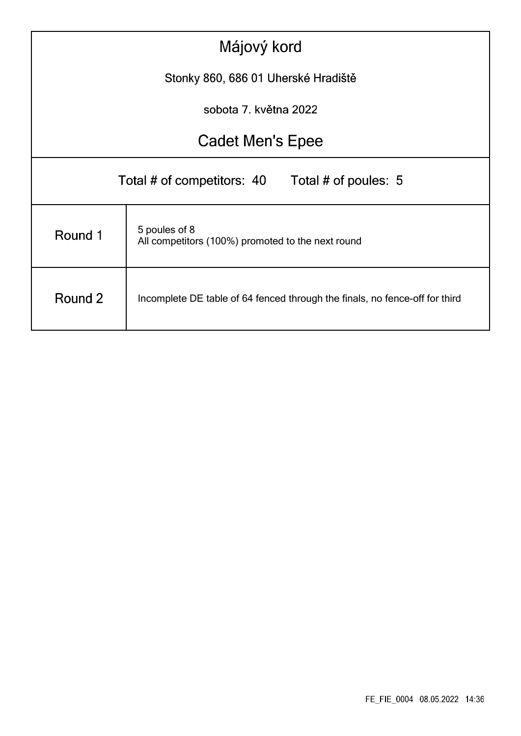| Májový kord                                                                            |                                                                    |  |  |  |  |  |  |  |  |
|----------------------------------------------------------------------------------------|--------------------------------------------------------------------|--|--|--|--|--|--|--|--|
| Stonky 860, 686 01 Uherské Hradiště                                                    |                                                                    |  |  |  |  |  |  |  |  |
|                                                                                        | sobota 7. května 2022                                              |  |  |  |  |  |  |  |  |
| <b>Cadet Men's Epee</b>                                                                |                                                                    |  |  |  |  |  |  |  |  |
|                                                                                        | Total # of competitors: 40<br>Total # of poules: 5                 |  |  |  |  |  |  |  |  |
| Round 1                                                                                | 5 poules of 8<br>All competitors (100%) promoted to the next round |  |  |  |  |  |  |  |  |
| Round 2<br>Incomplete DE table of 64 fenced through the finals, no fence-off for third |                                                                    |  |  |  |  |  |  |  |  |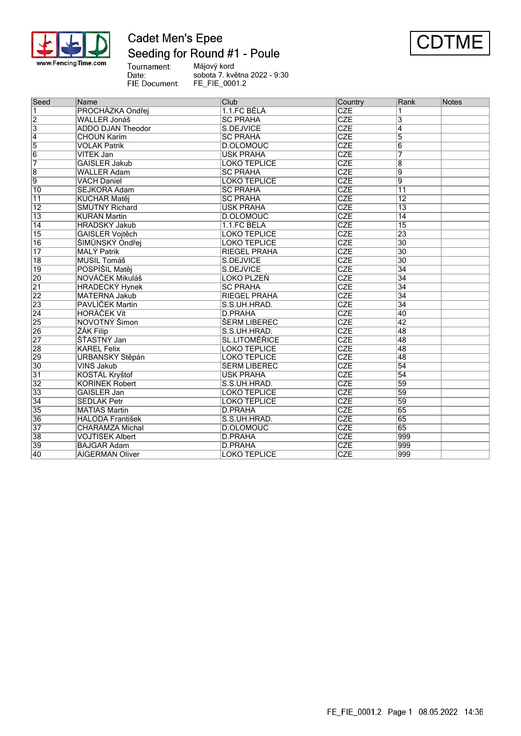

## **Cadet Men's Epee** Seeding for Round #1 - Poule



Tournament:<br>Date: Májový kord sobota 7. května 2022 - 9:30 FIE Document: FE\_FIE\_0001.2

| Seed            | Name                     | Club                       | Country    | Rank            | Notes |
|-----------------|--------------------------|----------------------------|------------|-----------------|-------|
| $\overline{1}$  | PROCHÁZKA Ondřej         | 1.1.FC BĚLÁ                | <b>CZE</b> |                 |       |
| $\overline{2}$  | <b>WALLER Jonáš</b>      | <b>SC PRAHA</b>            | <b>CZE</b> | 3               |       |
| $\overline{3}$  | <b>ADDO DJAN Theodor</b> | S.DEJVICE                  | <b>CZE</b> | $\overline{4}$  |       |
| $\overline{4}$  | <b>CHOUN Karím</b>       | <b>SC PRAHA</b>            | <b>CZE</b> | $\overline{5}$  |       |
| 5               | <b>VOLÁK Patrik</b>      | D.OLOMOUC                  | <b>CZE</b> | $\overline{6}$  |       |
| $\overline{6}$  | VÍTEK Jan                | <b>USK PRAHA</b>           | <b>CZE</b> | 7               |       |
| 7               | <b>GAISLER Jakub</b>     | <b>LOKO TEPLICE</b>        | <b>CZE</b> | $\overline{8}$  |       |
| $\overline{8}$  | <b>WALLER Adam</b>       | <b>SC PRAHA</b>            | <b>CZE</b> | 9               |       |
| $\overline{9}$  | <b>VACH Daniel</b>       | <b>LOKO TEPLICE</b>        | <b>CZE</b> | 9               |       |
| 10              | <b>SEJKORA Adam</b>      | <b>SC PRAHA</b>            | <b>CZE</b> | $\overline{11}$ |       |
| $\overline{11}$ | KUCHAŘ Matěj             | <b>SC PRAHA</b>            | <b>CZE</b> | $\overline{12}$ |       |
| $ 12\rangle$    | <b>SMUTNÝ Richard</b>    | <b>USK PRAHA</b>           | CZE        | $\overline{13}$ |       |
| $\overline{13}$ | KURÁŇ Martin             | D.OLOMOUC                  | <b>CZE</b> | $\overline{14}$ |       |
| 14              | <b>HRADSKÝ Jakub</b>     | 1.1.FC BĚLÁ                | <b>CZE</b> | $\overline{15}$ |       |
| $\overline{15}$ | <b>GAISLER Vojtěch</b>   | LOKO TEPLICE               | <b>CZE</b> | $\overline{23}$ |       |
| 16              | SIMŮNSKÝ Ondřej          | <b>LOKO TEPLICE</b>        | <b>CZE</b> | $\overline{30}$ |       |
| $\overline{17}$ | <b>MALÝ Patrik</b>       | <b>RIEGEL PRAHA</b>        | <b>CZE</b> | $\overline{30}$ |       |
| $\overline{18}$ | <b>MUSIL Tomáš</b>       | S.DEJVICE                  | <b>CZE</b> | $\overline{30}$ |       |
| $ 19\rangle$    | POSPÍŠIL Matěj           | S.DEJVICE                  | <b>CZE</b> | $\overline{34}$ |       |
| 20              | NOVÁČEK Mikuláš          | LOKO PLZEŇ                 | <b>CZE</b> | $\overline{34}$ |       |
| $\overline{21}$ | <b>HRADECKÝ Hynek</b>    | <b>SC PRAHA</b>            | <b>CZE</b> | $\overline{34}$ |       |
| 22              | <b>MATERNA Jakub</b>     | <b>RIEGEL PRAHA</b>        | <b>CZE</b> | $\overline{34}$ |       |
| 23              | PAVLÍČEK Martin          | S.S.UH.HRAD.               | <b>CZE</b> | $\overline{34}$ |       |
| $\overline{24}$ | <b>HORÁČEK Vít</b>       | D.PRAHA                    | CZE        | 40              |       |
| 25              | <b>NOVOTNÝ Šimon</b>     | <b><i>SERM LIBEREC</i></b> | <b>CZE</b> | 42              |       |
| 26              | ŽÁK Filip                | S.S.UH.HRAD.               | <b>CZE</b> | 48              |       |
| $\overline{27}$ | <b>STASTNÝ Jan</b>       | <b>SL.LITOMÉŘICE</b>       | <b>CZE</b> | 48              |       |
| 28              | <b>KAREL Felix</b>       | <b>LOKO TEPLICE</b>        | <b>CZE</b> | 48              |       |
| 29              | URBANSKÝ Štěpán          | <b>LOKO TEPLICE</b>        | <b>CZE</b> | 48              |       |
| $\overline{30}$ | VINŠ Jakub               | <b>ŠERM LIBEREC</b>        | CZE        | $\overline{54}$ |       |
| $\overline{31}$ | KOŠŤÁL Kryštof           | <b>USK PRAHA</b>           | <b>CZE</b> | 54              |       |
| $\overline{32}$ | KOŘÍNEK Robert           | S.S.UH.HRAD.               | <b>CZE</b> | $\overline{59}$ |       |
| 33              | <b>GAISLER Jan</b>       | <b>LOKO TEPLICE</b>        | <b>CZE</b> | 59              |       |
| 34              | <b>SEDLAK Petr</b>       | <b>LOKO TEPLICE</b>        | <b>CZE</b> | $\overline{59}$ |       |
| 35              | <b>MATIÁŠ Martin</b>     | <b>D.PRAHA</b>             | <b>CZE</b> | 65              |       |
| 36              | <b>HALODA František</b>  | S.S.UH.HRAD.               | <b>CZE</b> | 65              |       |
| 37              | <b>CHARAMZA Michal</b>   | <b>D.OLOMOUC</b>           | <b>CZE</b> | 65              |       |
| 38              | VOJTÍŠEK Albert          | <b>D.PRAHA</b>             | <b>CZE</b> | 999             |       |
| 39              | <b>BAJGAR Adam</b>       | D.PRAHA                    | <b>CZE</b> | 999             |       |
| 40              | <b>AIGERMAN Oliver</b>   | <b>LOKO TEPLICE</b>        | <b>CZE</b> | 999             |       |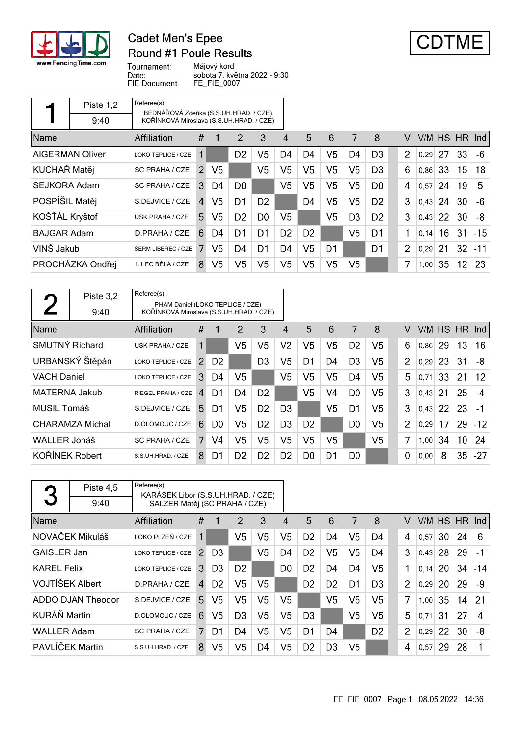

 $\mathbf{r}$ 

## **Cadet Men's Epee Round #1 Poule Results**



Tournament: Date: FIE Document:

Májový kord sobota 7. května 2022 - 9:30 FE\_FIE\_0007

|                     | Piste 1,2              | Referee(s):                                                                       |                |                |                |                |                |                |                |                |                |                |      |    |               |       |
|---------------------|------------------------|-----------------------------------------------------------------------------------|----------------|----------------|----------------|----------------|----------------|----------------|----------------|----------------|----------------|----------------|------|----|---------------|-------|
|                     | 9:40                   | BEDNÁŘOVÁ Zdeňka (S.S.UH.HRAD. / CZE)<br>KOŘÍNKOVÁ Miroslava (S.S.UH.HRAD. / CZE) |                |                |                |                |                |                |                |                |                |                |      |    |               |       |
| Name                |                        | Affiliation                                                                       | #              |                | 2              | 3              | 4              | 5              | 6              | 7              | 8              | v              |      |    | V/M HS HR Ind |       |
|                     | <b>AIGERMAN Oliver</b> | LOKO TEPLICE / CZE                                                                | 1              |                | D <sub>2</sub> | V <sub>5</sub> | D4             | D4             | V <sub>5</sub> | D4             | D <sub>3</sub> | $\overline{2}$ | 0,29 | 27 | 33            | -6    |
| KUCHAŘ Matěj        |                        | SC PRAHA / CZE                                                                    | $\mathcal{P}$  | V <sub>5</sub> |                | V <sub>5</sub> | V5             | V5             | V5             | V5             | D <sub>3</sub> | 6              | 0,86 | 33 | 15            | 18    |
| <b>SEJKORA Adam</b> |                        | SC PRAHA / CZE                                                                    | 3              | D4             | D <sub>0</sub> |                | V <sub>5</sub> | V5             | V <sub>5</sub> | V <sub>5</sub> | D <sub>0</sub> | 4              | 0,57 | 24 | 19            | 5     |
| POSPÍŠIL Matěj      |                        | S.DEJVICE / CZE                                                                   | $\overline{4}$ | V5             | D <sub>1</sub> | D <sub>2</sub> |                | D <sub>4</sub> | V5             | V <sub>5</sub> | D <sub>2</sub> | 3              | 0,43 | 24 | 30            | $-6$  |
| KOŠŤÁL Kryštof      |                        | USK PRAHA / CZE                                                                   | 5.             | V5             | D <sub>2</sub> | D <sub>0</sub> | V5             |                | V5             | D <sub>3</sub> | D <sub>2</sub> | 3              | 0,43 | 22 | 30            | -8    |
| <b>BAJGAR Adam</b>  |                        | D.PRAHA / CZE                                                                     | 6              | D4             | D <sub>1</sub> | D <sub>1</sub> | D <sub>2</sub> | D <sub>2</sub> |                | V <sub>5</sub> | D <sub>1</sub> | 1              | 0,14 | 16 | 31            | $-15$ |
| VINŠ Jakub          |                        | ŠERM LIBEREC / CZE                                                                |                | V5             | D <sub>4</sub> | D <sub>1</sub> | D <sub>4</sub> | V5             | D1             |                | D <sub>1</sub> | $\overline{2}$ | 0.29 | 21 | 32            | $-11$ |
|                     | PROCHÁZKA Ondřej       | 1.1.FC BĚLÁ / CZE                                                                 | 8              | V <sub>5</sub> | V <sub>5</sub> | V <sub>5</sub> | V5             | V5             | V5             | V <sub>5</sub> |                | 7              | 1,00 | 35 | 12            | -23   |

|                       | Piste 3,2       | Referee(s):<br>PHAM Daniel (LOKO TEPLICE / CZE) |               |                |                |                |                |                |                |                |                |                |        |    |     |                   |
|-----------------------|-----------------|-------------------------------------------------|---------------|----------------|----------------|----------------|----------------|----------------|----------------|----------------|----------------|----------------|--------|----|-----|-------------------|
|                       | 9:40            | KOŘÍNKOVÁ Miroslava (S.S.UH.HRAD. / CZE)        |               |                |                |                |                |                |                |                |                |                |        |    |     |                   |
| <b>Name</b>           |                 | Affiliation                                     | #             |                | 2              | 3              | 4              | 5              | 6              | 7              | 8              | v              | V/M HS |    | HR. | Ind               |
| <b>SMUTNÝ Richard</b> |                 | USK PRAHA / CZE                                 | 1             |                | V <sub>5</sub> | V <sub>5</sub> | V <sub>2</sub> | V5             | V <sub>5</sub> | D <sub>2</sub> | V <sub>5</sub> | 6              | 0,86   | 29 | 13  | 16                |
|                       | URBANSKÝ Štěpán | LOKO TEPLICE / CZE                              | $\mathcal{P}$ | D <sub>2</sub> |                | D <sub>3</sub> | V5             | D1             | D4             | D <sub>3</sub> | V5             | $\overline{2}$ | 0,29   | 23 | 31  | -8                |
| <b>VACH Daniel</b>    |                 | LOKO TEPLICE / CZE                              | 3             | D4             | V5             |                | V <sub>5</sub> | V5             | V5             | D4             | V5             | 5              | 0,71   | 33 | 21  | $12 \overline{ }$ |
| <b>MATERNA Jakub</b>  |                 | RIEGEL PRAHA / CZE                              | 4             | D1             | D4             | D <sub>2</sub> |                | V <sub>5</sub> | V4             | D <sub>0</sub> | V5             | 3              | 0,43   | 21 | 25  | $-4$              |
| MUSIL Tomáš           |                 | S.DEJVICE / CZE                                 | 5.            | D1             | V5             | D <sub>2</sub> | D <sub>3</sub> |                | V <sub>5</sub> | D1             | V5             | 3              | 0,43   | 22 | 23  | $-1$              |
|                       | CHARAMZA Michal | D.OLOMOUC / CZE                                 | 6             | D <sub>0</sub> | V5             | D <sub>2</sub> | D <sub>3</sub> | D <sub>2</sub> |                | D <sub>0</sub> | V5             | $\overline{2}$ | 0,29   | 17 | 29  | $-12$             |
| <b>WALLER Jonáš</b>   |                 | <b>SC PRAHA / CZE</b>                           | 7             | V4             | V <sub>5</sub> | V <sub>5</sub> | V <sub>5</sub> | V5             | V5             |                | V5             | 7              | 1,00   | 34 | 10  | 24                |
| KOŘÍNEK Robert        |                 | S.S.UH.HRAD. / CZE                              | 8             | D1             | D <sub>2</sub> | D <sub>2</sub> | D <sub>2</sub> | D <sub>0</sub> | D1             | D <sub>0</sub> |                | 0              | 0,00   | 8  | 35  | $-27$             |

| 3                  | Piste 4,5         | Referee(s):<br>KARÁSEK Libor (S.S.UH.HRAD. / CZE) |               |                |                |                |                        |                |                |                |                |                |      |    |               |       |
|--------------------|-------------------|---------------------------------------------------|---------------|----------------|----------------|----------------|------------------------|----------------|----------------|----------------|----------------|----------------|------|----|---------------|-------|
|                    | 9:40              | SALZER Matěj (SC PRAHA / CZE)                     |               |                |                |                |                        |                |                |                |                |                |      |    |               |       |
| Name               |                   | Affiliation                                       | #             | -1             | 2              | 3              | $\boldsymbol{\Lambda}$ | 5              | 6              | 7              | 8              | v              |      |    | V/M HS HR Ind |       |
|                    | NOVÁČEK Mikuláš   | LOKO PLZEŇ / CZE                                  | 1             |                | V5             | V <sub>5</sub> | V <sub>5</sub>         | D <sub>2</sub> | D4             | V5             | D4             | 4              | 0.57 | 30 | 24            | 6     |
| <b>GAISLER Jan</b> |                   | LOKO TEPLICE / CZE                                | $\mathcal{P}$ | D <sub>3</sub> |                | V <sub>5</sub> | D4                     | D <sub>2</sub> | V5             | V <sub>5</sub> | D4             | 3              | 0.43 | 28 | 29            | $-1$  |
| <b>KAREL Felix</b> |                   | LOKO TEPLICE / CZE                                | 3             | D3             | D <sub>2</sub> |                | D <sub>0</sub>         | D <sub>2</sub> | D4             | D4             | V5             | 1              | 0,14 | 20 | 34            | $-14$ |
| VOJTÍŠEK Albert    |                   | D.PRAHA / CZE                                     | $\mathbf{4}$  | D <sub>2</sub> | V <sub>5</sub> | V <sub>5</sub> |                        | D <sub>2</sub> | D <sub>2</sub> | D1             | D3             | $\overline{2}$ | 0.29 | 20 | 29            | -9    |
|                    | ADDO DJAN Theodor | S.DEJVICE / CZE                                   | 5.            | V <sub>5</sub> | V <sub>5</sub> | V <sub>5</sub> | V <sub>5</sub>         |                | V <sub>5</sub> | V <sub>5</sub> | V <sub>5</sub> | 7              | 1,00 | 35 | 14            | 21    |
| KURÁŇ Martin       |                   | D.OLOMOUC / CZE                                   | 6             | V5             | D <sub>3</sub> | V5             | V5                     | D <sub>3</sub> |                | V5             | V5             | 5              | 0.71 | 31 | 27            | 4     |
| <b>WALLER Adam</b> |                   | SC PRAHA / CZE                                    |               | D1             | D4             | V <sub>5</sub> | V <sub>5</sub>         | D1             | D4             |                | D <sub>2</sub> | $\overline{2}$ | 0,29 | 22 | 30            | -8    |
| PAVLÍČEK Martin    |                   | S.S.UH.HRAD. / CZE                                | 8             | V <sub>5</sub> | V5             | D4             | V <sub>5</sub>         | D <sub>2</sub> | D <sub>3</sub> | V <sub>5</sub> |                | 4              | 0,57 | 29 | 28            |       |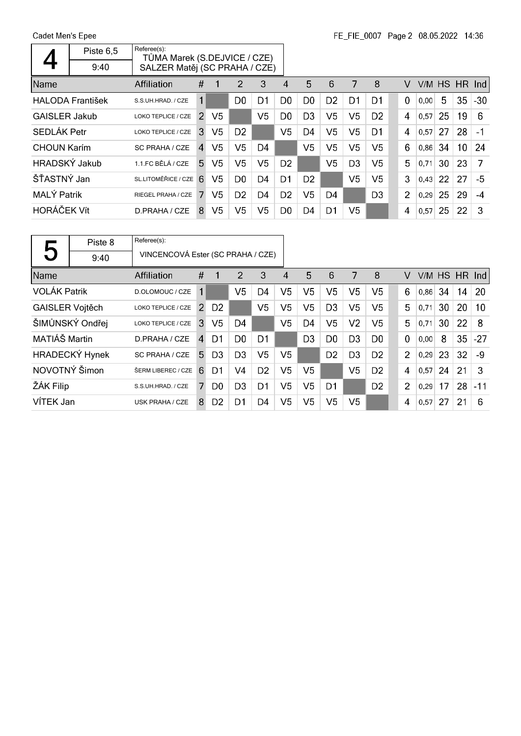Cadet Men's Epee  $\overline{\phantom{a}}$ 

 $\mathsf{r}$ 

|                      | Piste 6,5               | Referee(s):<br>TŮMA Marek (S.DEJVICE / CZE) |                |                |                |                |                |                |                |                |                |                |      |    |                 |                         |
|----------------------|-------------------------|---------------------------------------------|----------------|----------------|----------------|----------------|----------------|----------------|----------------|----------------|----------------|----------------|------|----|-----------------|-------------------------|
|                      | 9:40                    | SALZER Matěj (SC PRAHA / CZE)               |                |                |                |                |                |                |                |                |                |                |      |    |                 |                         |
| Name                 |                         | Affiliation                                 | #              |                | 2              | 3              | 4              | 5              | 6              | 7              | 8              | v              |      |    | V/M HS HR       | $\lfloor$ lnd $\lfloor$ |
|                      | <b>HALODA František</b> | S.S.UH.HRAD. / CZE                          | 1              |                | D <sub>0</sub> | D1             | D <sub>0</sub> | D <sub>0</sub> | D <sub>2</sub> | D1             | D <sub>1</sub> | $\mathbf 0$    | 0,00 | 5  | 35              | $-30$                   |
| <b>GAISLER Jakub</b> |                         | LOKO TEPLICE / CZE                          | $\mathcal{P}$  | V5             |                | V <sub>5</sub> | D <sub>0</sub> | D <sub>3</sub> | V5             | V5             | D <sub>2</sub> | 4              | 0.57 | 25 | 19              | 6                       |
| <b>SEDLÁK Petr</b>   |                         | LOKO TEPLICE / CZE                          | 3              | V5             | D <sub>2</sub> |                | V <sub>5</sub> | D4             | V5             | V <sub>5</sub> | D1             | 4              | 0.57 | 27 | 28              | $-1$                    |
| <b>CHOUN Karim</b>   |                         | SC PRAHA / CZE                              | $\overline{4}$ | V5             | V5             | D <sub>4</sub> |                | V5             | V5             | V5             | V5             | 6              | 0,86 | 34 | 10 <sup>°</sup> | 24                      |
| <b>HRADSKÝ Jakub</b> |                         | 1.1.FC BĚLÁ / CZE                           | 5              | V <sub>5</sub> | V <sub>5</sub> | V <sub>5</sub> | D <sub>2</sub> |                | V <sub>5</sub> | D <sub>3</sub> | V5             | 5              | 0,71 | 30 | 23              | 7                       |
| ŠŤASTNÝ Jan          |                         | SL.LITOMĚŘICE / CZE                         | 6              | V5             | D <sub>0</sub> | D <sub>4</sub> | D1             | D <sub>2</sub> |                | V5             | V5             | 3              | 0.43 | 22 | 27              | -5                      |
| <b>MALÝ Patrik</b>   |                         | RIEGEL PRAHA / CZE                          |                | V5             | D <sub>2</sub> | D4             | D <sub>2</sub> | V5             | D4             |                | D <sub>3</sub> | $\overline{2}$ | 0.29 | 25 | 29              | $-4$                    |
| <b>HORÁČEK Vít</b>   |                         | D.PRAHA / CZE                               | 8              | V <sub>5</sub> | V <sub>5</sub> | V <sub>5</sub> | D <sub>0</sub> | D4             | D1             | V <sub>5</sub> |                | 4              | 0,57 | 25 | 22              | 3                       |

|                        | Piste 8         | Referee(s):                       |               |                |                |                |                |                |                |                |                |                |           |    |               |       |
|------------------------|-----------------|-----------------------------------|---------------|----------------|----------------|----------------|----------------|----------------|----------------|----------------|----------------|----------------|-----------|----|---------------|-------|
| 5                      | 9:40            | VINCENCOVÁ Ester (SC PRAHA / CZE) |               |                |                |                |                |                |                |                |                |                |           |    |               |       |
| Name                   |                 | Affiliation                       | #             | 1              | 2              | 3              | 4              | 5              | 6              | 7              | 8              | v              |           |    | V/M HS HR Ind |       |
| <b>VOLÁK Patrik</b>    |                 | D.OLOMOUC / CZE                   | 1             |                | V <sub>5</sub> | D4             | V <sub>5</sub> | V <sub>5</sub> | V <sub>5</sub> | V <sub>5</sub> | V <sub>5</sub> | 6              | $0,86$ 34 |    | 14            | 20    |
| <b>GAISLER Vojtěch</b> |                 | LOKO TEPLICE / CZE                | $\mathcal{P}$ | D <sub>2</sub> |                | V <sub>5</sub> | V <sub>5</sub> | V5             | D3             | V5             | V5             | 5              | 0,71      | 30 | 20            | 10    |
|                        | ŠIMŮNSKÝ Ondřej | LOKO TEPLICE / CZE                | 3             | V <sub>5</sub> | D <sub>4</sub> |                | V <sub>5</sub> | D <sub>4</sub> | V5             | V <sub>2</sub> | V <sub>5</sub> | 5              | 0,71      | 30 | 22            | 8     |
| MATIÁŠ Martin          |                 | D.PRAHA / CZE                     | $\mathbf{A}$  | D1             | D <sub>0</sub> | D <sub>1</sub> |                | D <sub>3</sub> | D <sub>0</sub> | D <sub>3</sub> | D <sub>0</sub> | $\mathbf 0$    | 0,00      | 8  | 35            | $-27$ |
|                        | HRADECKÝ Hynek  | <b>SC PRAHA / CZE</b>             | .5            | D <sub>3</sub> | D <sub>3</sub> | V5             | V5             |                | D <sub>2</sub> | D <sub>3</sub> | D <sub>2</sub> | $\overline{2}$ | 0,29      | 23 | 32            | -9    |
| NOVOTNÝ Šimon          |                 | ŠERM LIBEREC / CZE                | 6             | D1             | V <sub>4</sub> | D <sub>2</sub> | V <sub>5</sub> | V5             |                | V <sub>5</sub> | D <sub>2</sub> | 4              | 0,57      | 24 | 21            | 3     |
| ŽÁK Filip              |                 | S.S.UH.HRAD. / CZE                |               | D0             | D <sub>3</sub> | D <sub>1</sub> | V5             | V5             | D1             |                | D <sub>2</sub> | $\overline{2}$ | 0,29      | 17 | 28            | $-11$ |
| VÍTEK Jan              |                 | USK PRAHA / CZE                   | 8             | D <sub>2</sub> | D1             | D4             | V5             | V5             | V <sub>5</sub> | V5             |                | 4              | 0,57      | 27 | 21            | 6     |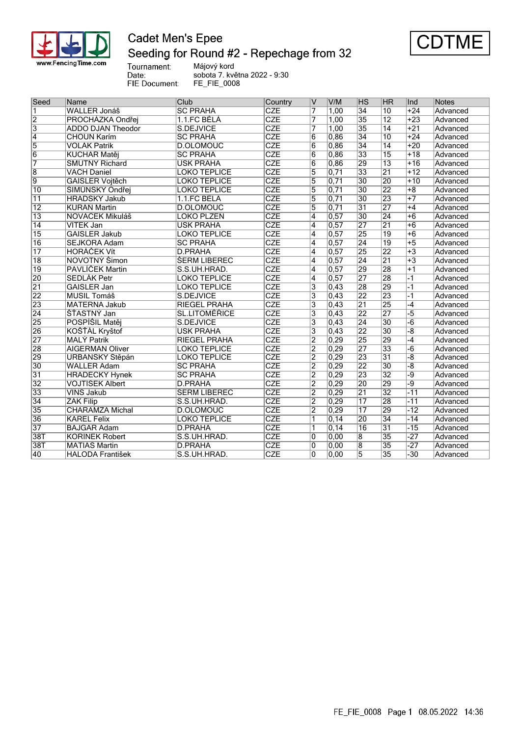

## **Cadet Men's Epee** Seeding for Round #2 - Repechage from 32



Tournament:<br>Date: FIE Document:

Májový kord sobota 7. května 2022 - 9:30 FE\_FIE\_0008

| Seed            | Name                    | Club                 | Country                 | IV                      | V/M               | ∣HS                      | <b>HR</b>       | Ind             | Notes    |
|-----------------|-------------------------|----------------------|-------------------------|-------------------------|-------------------|--------------------------|-----------------|-----------------|----------|
| 1               | WALLER Jonáš            | <b>SC PRAHA</b>      | <b>CZE</b>              | 7                       | 1,00              | $\overline{34}$          | $\overline{10}$ | $+24$           | Advanced |
| $\overline{2}$  | PROCHÁZKA Ondřej        | 1.1.FC BĚLÁ          | <b>CZE</b>              | 7                       | 1,00              | $\overline{35}$          | $\overline{12}$ | $+23$           | Advanced |
| $\overline{3}$  | ADDO DJAN Theodor       | S.DEJVICE            | CZE                     | $\overline{7}$          | 1,00              | $\overline{35}$          | $\overline{14}$ | $+21$           | Advanced |
| $\overline{4}$  | <b>CHOUN Karím</b>      | <b>SC PRAHA</b>      | CZE                     | $\overline{6}$          | 0.86              | $\overline{34}$          | $\overline{10}$ | $+24$           | Advanced |
| $\overline{5}$  | <b>VOLÁK Patrik</b>     | D.OLOMOUC            | CZE                     | 6                       | 0,86              | $\overline{34}$          | $\overline{14}$ | $+20$           | Advanced |
| $\overline{6}$  | KUCHAŘ Matěj            | <b>SC PRAHA</b>      | CZE                     | 6                       | 0,86              | $\overline{33}$          | $\overline{15}$ | $+18$           | Advanced |
| $\overline{7}$  | SMUTNÝ Richard          | <b>USK PRAHA</b>     | CZE                     | $\overline{6}$          | 0,86              | $\overline{29}$          | $\overline{13}$ | $+16$           | Advanced |
| $\overline{8}$  | <b>VACH Daniel</b>      | <b>LOKO TEPLICE</b>  | CZE                     | $\overline{5}$          | $\overline{0,71}$ | $\overline{33}$          | $\overline{21}$ | $+12$           | Advanced |
| 9               | <b>GAISLER Vojtěch</b>  | <b>LOKO TEPLICE</b>  | CZE                     | $\overline{5}$          | 0,71              | 30                       | 20              | $+10$           | Advanced |
| $\overline{10}$ | ŠIMŮNSKÝ Ondřej         | <b>LOKO TEPLICE</b>  | $\overline{\text{CZE}}$ | $\overline{5}$          | 0,71              | $\overline{30}$          | $\overline{22}$ | $\overline{+8}$ | Advanced |
| $\overline{11}$ | <b>HRADSKÝ Jakub</b>    | 1.1.FC BĚLÁ          | CZE                     | $\overline{5}$          | $\overline{0.71}$ | 30                       | $\overline{23}$ | $+7$            | Advanced |
| $\overline{12}$ | KURÁŇ Martin            | D.OLOMOUC            | CZE                     | 5                       | 0.71              | $\overline{31}$          | $\overline{27}$ | $+4$            | Advanced |
| $\overline{13}$ | NOVÁČEK Mikuláš         | LOKO PLZEŇ           | CZE                     | 4                       | 0,57              | $\overline{30}$          | $\overline{24}$ | $+6$            | Advanced |
| $\overline{14}$ | <b>VÍTEK Jan</b>        | <b>USK PRAHA</b>     | CZE                     | $\overline{4}$          | 0,57              | $\overline{27}$          | $\overline{21}$ | $+6$            | Advanced |
| $\overline{15}$ | <b>GAISLER Jakub</b>    | <b>LOKO TEPLICE</b>  | $\overline{\text{CZE}}$ | $\overline{4}$          | 0,57              | $\overline{25}$          | $\overline{19}$ | $+6$            | Advanced |
| 16              | <b>SEJKORA Adam</b>     | <b>SC PRAHA</b>      | CZE                     | $\overline{4}$          | 0,57              | $\overline{24}$          | $\overline{19}$ | $\overline{+5}$ | Advanced |
| $\overline{17}$ | <b>HORÁČEK Vít</b>      | <b>D.PRAHA</b>       | CZE                     | $\overline{4}$          | 0,57              | $\overline{25}$          | $\overline{22}$ | $+3$            | Advanced |
| $\overline{18}$ | NOVOTNÝ Šimon           | <b>ŠERM LIBEREC</b>  | CZE                     | $\overline{4}$          | 0, 57             | $\overline{24}$          | $\overline{21}$ | $+3$            | Advanced |
| $\overline{19}$ | PAVLÍČEK Martin         | S.S.UH.HRAD.         | $\overline{\text{CZE}}$ | 4                       | 0,57              | $\overline{29}$          | $\overline{28}$ | $+1$            | Advanced |
| $\overline{20}$ | <b>SEDLÁK Petr</b>      | <b>LOKO TEPLICE</b>  | CZE                     | $\overline{4}$          | 0, 57             | 27                       | $\overline{28}$ | $\overline{1}$  | Advanced |
| $\overline{21}$ | <b>GAISLER Jan</b>      | <b>LOKO TEPLICE</b>  | CZE                     | 3                       | 0,43              | $\overline{28}$          | $\overline{29}$ | $-1$            | Advanced |
| 22              | <b>MUSIL Tomáš</b>      | S.DEJVICE            | CZE                     | $\overline{3}$          | 0,43              | $\overline{22}$          | $\overline{23}$ | $-1$            | Advanced |
| 23              | <b>MATERNA Jakub</b>    | <b>RIEGEL PRAHA</b>  | CZE                     | $\overline{3}$          | $\overline{0,43}$ | $\overline{21}$          | $\overline{25}$ | $-4$            | Advanced |
| $\overline{24}$ | ŠŤASTNÝ Jan             | <b>SL.LITOMĚŘICE</b> | $\overline{\text{CZE}}$ | $\overline{\mathbf{3}}$ | 0,43              | 22                       | $\overline{27}$ | $-5$            | Advanced |
| 25              | POSPÍŠIL Matěj          | S.DEJVICE            | CZE                     | 3                       | 0,43              | $\overline{24}$          | $\overline{30}$ | $-\overline{6}$ | Advanced |
| 26              | KOŠŤÁL Kryštof          | <b>USK PRAHA</b>     | CZE                     | $\overline{3}$          | 0,43              | $\overline{22}$          | $\overline{30}$ | $\overline{-8}$ | Advanced |
| 27              | <b>MALÝ Patrik</b>      | <b>RIEGEL PRAHA</b>  | $\overline{\text{CZE}}$ | $\overline{2}$          | 0,29              | $\overline{25}$          | 29              | $-4$            | Advanced |
| 28              | <b>AIGERMAN Oliver</b>  | <b>LOKO TEPLICE</b>  | CZE                     | $\overline{2}$          | 0,29              | $\overline{27}$          | $\overline{33}$ | $-6$            | Advanced |
| 29              | URBANSKÝ Štěpán         | <b>LOKO TEPLICE</b>  | <b>CZE</b>              | $\overline{2}$          | 0,29              | 23                       | $\overline{31}$ | $-\overline{8}$ | Advanced |
| $\overline{30}$ | <b>WALLER Adam</b>      | <b>SC PRAHA</b>      | CZE                     | $\overline{2}$          | 0,29              | 22                       | $\overline{30}$ | $-\sqrt{8}$     | Advanced |
| 31              | <b>HRADECKÝ Hynek</b>   | <b>SC PRAHA</b>      | CZE                     | $\overline{2}$          | 0,29              | $\overline{23}$          | $\overline{32}$ | -9              | Advanced |
| $\overline{32}$ | VOJTÍŠEK Albert         | D.PRAHA              | $\overline{\text{CZE}}$ | $\overline{2}$          | 0,29              | $\overline{20}$          | $\overline{29}$ | $\overline{-9}$ | Advanced |
| $\overline{33}$ | VINŠ Jakub              | ŠERM LIBEREC         | $\overline{\text{CZE}}$ | $\overline{2}$          | 0,29              | $\overline{21}$          | $\overline{32}$ | $-11$           | Advanced |
| $\overline{34}$ | <b>ŽÁK Filip</b>        | S.S.UH.HRAD.         | CZE                     | $\overline{2}$          | 0,29              | $\overline{17}$          | $\overline{28}$ | $-11$           | Advanced |
| 35              | <b>CHARAMZA Michal</b>  | <b>D.OLOMOUC</b>     | $\overline{\text{CZE}}$ | $\overline{2}$          | 0,29              | $\overline{17}$          | $\overline{29}$ | $-12$           | Advanced |
| 36              | <b>KAREL Felix</b>      | <b>LOKO TEPLICE</b>  | CZE                     | 1                       | $\overline{0,14}$ | $\overline{20}$          | $\overline{34}$ | $-14$           | Advanced |
| $\overline{37}$ | <b>BAJGAR Adam</b>      | <b>D.PRAHA</b>       | CZE                     | 1                       | 0, 14             | $\overline{16}$          | $\overline{31}$ | $-15$           | Advanced |
| 38T             | KOŘÍNEK Robert          | S.S.UH.HRAD.         | CZE                     | 0                       | 0,00              | 8                        | $\overline{35}$ | $-27$           | Advanced |
| 38T             | <b>MATIÁŠ Martin</b>    | D.PRAHA              | CZE                     | $\overline{0}$          | 0,00              | $\overline{\mathcal{8}}$ | $\overline{35}$ | $-27$           | Advanced |
| 40              | <b>HALODA František</b> | S.S.UH.HRAD.         | <b>CZE</b>              | $\overline{0}$          | $\overline{0,00}$ | 5                        | $\overline{35}$ | $-30$           | Advanced |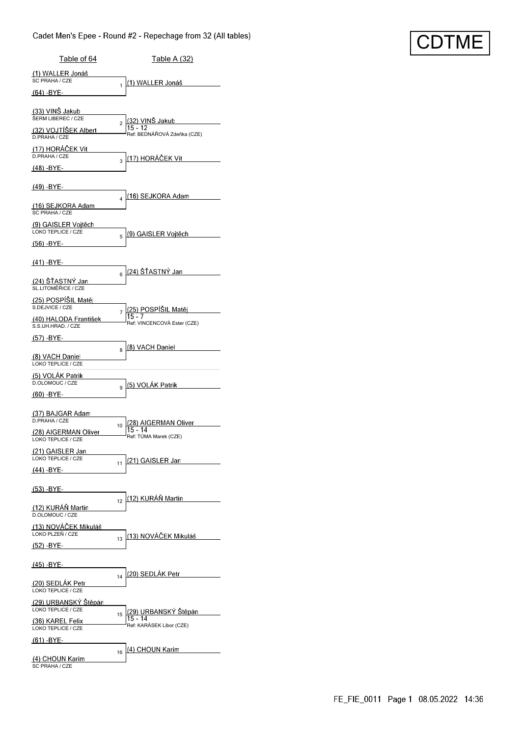### Cadet Men's Epee - Round #2 - Repechage from 32 (All tables)

| Table of 64                                    | <u>Table A (32)</u>                                                           |
|------------------------------------------------|-------------------------------------------------------------------------------|
| (1) WALLER Jonáš<br>SC PRAHA / CZE             |                                                                               |
| (64) -BYE-                                     | (1) WALLER Jonáš<br>1                                                         |
| (33) VINŠ Jakub                                |                                                                               |
| ŠERM LIBEREC / CZE<br>(32) VOJTÍŠEK Albert     | (32) VINŠ Jakub<br>$\overline{2}$<br>$15 - 12$<br>Ref: BEDNÁŘOVÁ Zdeňka (CZE) |
| D.PRAHA / CZE<br>(17) HORACEK Vít              |                                                                               |
| D.PRAHA / CZE<br><u>(48) -BYE-</u>             | <u>(17) HORÁČEK Vít</u><br>3                                                  |
| (49) -BYE-                                     |                                                                               |
|                                                | <u> (16) SEJKORA Adam</u><br>4                                                |
| <u>(16) SEJKORA Adam</u><br>SC PRAHA / CZE     |                                                                               |
| (9) GAISLER Vojtěch<br>LOKO TEPLICE / CZE      | <u>  (9) GAISLER Vojtěch</u><br>5                                             |
| (56) -BYE-                                     |                                                                               |
| (41) -BYE-                                     | (24) ŠŤASTNÝ Jan                                                              |
| <u>(24) ŠŤASTNÝ Jan</u><br>SL.LITOMĚŘICE / CZE | 6                                                                             |
| (25) POSPÍŠIL Matěj<br>S.DEJVICE / CZE         |                                                                               |
| (40) HALODA František<br>S.S.UH.HRAD. / CZE    | (25) POSPÍŠIL Matěj<br>7<br>Ref: VINCENCOVÁ Ester (CZE)                       |
| (57) -BYE-                                     |                                                                               |
| (8) VACH Daniel                                | (8) VACH Daniel<br>8                                                          |
| LOKO TEPLICE / CZE<br>(5) VOLAK Patrik         |                                                                               |
| D.OLOMOUC / CZE                                | (5) VOLAK Patrik<br>9                                                         |
| $(60) - BYE -$                                 |                                                                               |
| (37) BAJGAR Adam<br>D.PRAHA / CZE              | (28) AIGERMAN Oliver<br>10                                                    |
| (28) AIGERMAN Oliver<br>LOKO TEPLICE / CZE     | $15 - 14$<br>Ref: TUMA Marek (CZE)                                            |
| (21) GAISLER Jan<br>LOKO TEPLICE / CZE         | (21) GAISLER Jan<br>11                                                        |
| <u>(44) -BYE-</u>                              |                                                                               |
| <u>(53) -BYE-</u>                              |                                                                               |
| (12) KURÁŇ Martin<br>D OLOMOUC / CZE           | (12) KURÁŇ Martin<br>12                                                       |
| (13) NOVÁČEK Mikuláš                           |                                                                               |
| LOKO PLZEŇ / CZE<br>(52) -BYE-                 | (13) NOVÁČEK Mikuláš<br>13                                                    |
| <u>(45) -BYE-</u>                              |                                                                               |
| (20) SEDLÁK Petr                               | (20) SEDLÁK Petr<br>14                                                        |
| LOKO TEPLICE / CZE                             |                                                                               |
| (29) URBANSKÝ Stěpán<br>LOKO TEPLICE / CZE     | <u>(29) URBANSKÝ Štěpán</u><br>15<br>$15 - 14$                                |
| (36) KAREL Felix<br>LOKO TEPLICE / CZE         | Ref: KARÁSEK Libor (CZE)                                                      |
| (61) -BYE-                                     | (4) CHOUN Karim<br>16                                                         |
| (4) CHOUN Karim<br>SC PRAHA / CZE              |                                                                               |

**CDTME**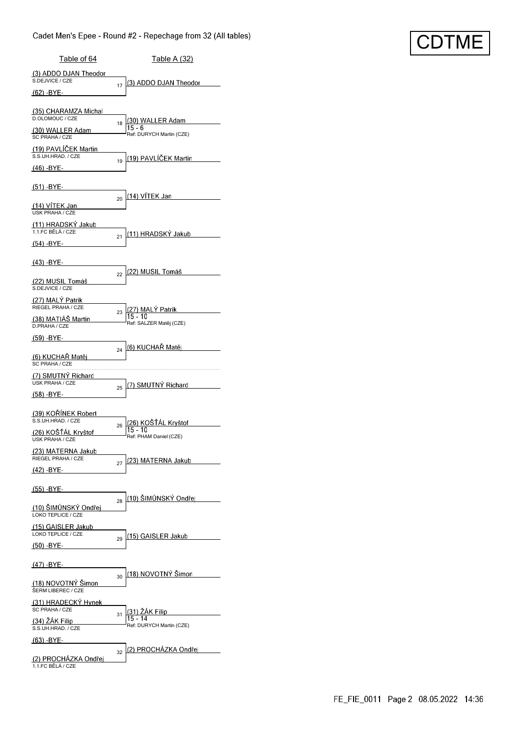### Cadet Men's Epee - Round #2 - Repechage from 32 (All tables)

| Table of 64                                      | Table A (32)                                                   |
|--------------------------------------------------|----------------------------------------------------------------|
| (3) ADDO DJAN Theodor<br>S.DEJVICE / CZE         | (3) ADDO DJAN Theodor<br>17                                    |
| <u>(62) -BYE-</u>                                |                                                                |
| (35) CHARAMZA Michal<br>D.OLOMOUC / CZE          | (30) WALLER Adam                                               |
| (30) WALLER Adam<br>SC PRAHA / CZE               | 18<br>15 - 6<br>Ref: DURYCH Martin (CZE)                       |
| (19) PAVLÍČEK Martin<br>S.S.UH.HRAD. / CZE       | (19) PAVLÍČEK Martin                                           |
| (46) -BYE-                                       | 19                                                             |
| <u>(51) -BYE-</u>                                |                                                                |
| <u>(14) VÍTEK Jan</u>                            | <u>(14) VÍTEK Jan</u><br>20                                    |
| <b>USK PRAHA / CZE</b><br>(11) HRADSKY Jakub     |                                                                |
| 1.1.FC BĚLÁ / CZE<br>(54) -BYE-                  | (11) HRADSKY Jakub<br>21                                       |
| (43) -BYE-                                       |                                                                |
|                                                  | (22) MUSIL Tomáš<br>22                                         |
| <u>(22) MUSIL Tomáš</u><br>S.DEJVICE / CZE       |                                                                |
| (27) MALY Patrik<br>RIEGEL PRAHA / CZE           | (27) MALÝ Patrik<br>23                                         |
| <u>(38) MATIÁŠ Martin</u><br>D.PRAHA / CZE       | 15 - 10<br>Ref: SALZER Matěj (CZE)                             |
| (59) -BYE-                                       |                                                                |
| (6) KUCHAR Matěj<br>SC PRAHA / CZE               | (6) KUCHAŘ Matěj<br>24                                         |
| (7) SMUTNY Richard<br><b>USK PRAHA / CZE</b>     | (7) SMUTNÝ Richard                                             |
| (58) -BYE-                                       | 25                                                             |
| <u>(39) KOŘÍNEK Robert</u><br>S.S.UH.HRAD. / CZE |                                                                |
| (26) KOŠŤÁL Kryštof                              | (26) KOŠŤÁL Kryštof<br>26<br>15 - 10<br>Ref: PHAM Daniel (CZE) |
| USK PRAHA / CZE<br>(23) MATERNA Jakub            |                                                                |
| RIEGEL PRAHA / CZE<br><u>(42) -BYE-</u>          | 23) MATERNA Jakub<br>27                                        |
| (55) -BYE-                                       |                                                                |
| (10) ŠIMŮNSKÝ Ondřej                             | <u>(10) ŠIMŮNSKÝ Ondřej</u><br>28                              |
| LOKO TEPLICE / CZE                               |                                                                |
| (15) GAISLER Jakub<br>LOKO TEPLICE / CZE         | <u>(15) GAISLER Jakub</u><br>29                                |
| (50) -BYE-                                       |                                                                |
| (47) -BYE-                                       | <u> 18) NOVOTNÝ Šimon</u>                                      |
| (18) NOVOTNÝ Simon<br>ŠERM LIBEREC / CZE         | 30                                                             |
| (31) HRADECKÝ Hynek<br>SC PRAHA / CZE            | (31) ŽÁK Filip                                                 |
| (34) ZAK Filip<br>S.S.UH.HRAD. / CZE             | 31<br>15 - 14<br>Ref: DURYCH Martin (CZE)                      |
| (63) -BYE-                                       |                                                                |
| (2) PROCHÁZKA Ondřej<br>1.1.FC BĚLÁ / CZE        | (2) PROCHAZKA Ondřej<br>32                                     |

**CDTME**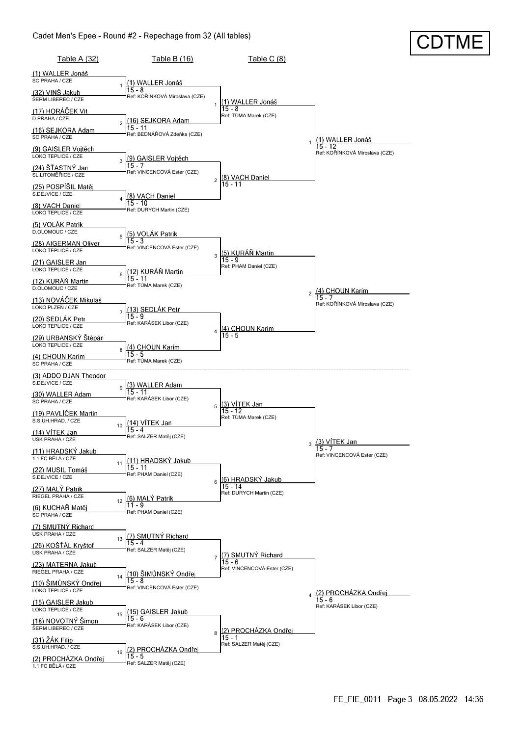### Cadet Men's Epee - Round #2 - Repechage from 32 (All tables)

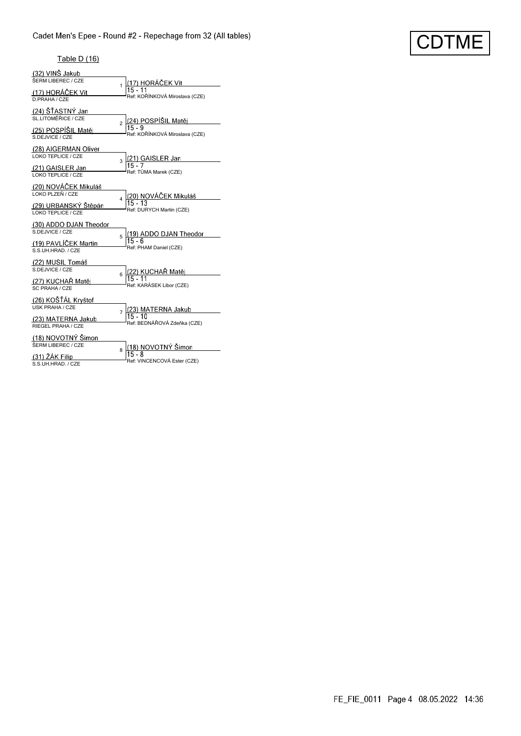# CDTME

#### Table D (16)

| (32) VINŠ Jakub        |                                          |
|------------------------|------------------------------------------|
| ŠERM LIBEREC / CZE     | (17) HORÁČEK Vít<br>1                    |
| (17) HORÁČEK Vít       | $15 - 11$                                |
| D.PRAHA / CZE          | Ref: KOŘÍNKOVÁ Miroslava (CZE)           |
| (24) ŠŤASTNÝ Jan       |                                          |
| SL.LITOMĚŘICE / CZE    | (24) POSPÍŠIL Matěj<br>$\overline{a}$    |
| (25) POSPÍŠIL Matěj    |                                          |
| S.DEJVICE / CZE        | Ref: KOŘÍNKOVÁ Miroslava (CZE)           |
| (28) AIGERMAN Oliver   |                                          |
| LOKO TEPLICE / CZE     | 3                                        |
| (21) GAISLER Jan       | (21) GAISLER Jan<br>15 - 7               |
| LOKO TEPLICE / CZE     | Ref: TŮMA Marek (CZE)                    |
| (20) NOVÁČEK Mikuláš   |                                          |
| LOKO PLZEŇ / CZE       | (20) NOVÁČEK Mikuláš<br>4                |
| (29) URBANSKÝ Štěpán   | $15 - 13$                                |
| LOKO TEPLICE / CZE     | Ref: DURYCH Martin (CZE)                 |
| (30) ADDO DJAN Theodor |                                          |
| S.DEJVICE / CZE        | (19) ADDO DJAN Theodor<br>5              |
| (19) PAVLÍČEK Martin   | 15 - 6                                   |
| S.S.UH.HRAD. / CZE     | Ref: PHAM Daniel (CZE)                   |
| (22) MUSIL Tomáš       |                                          |
| S.DEJVICE / CZE        | <u>(22) KUCHAŘ Matěj</u><br>15 - 11<br>6 |
| (27) KUCHAŘ Matěj      |                                          |
| SC PRAHA / CZE         | Ref: KARÁSEK Libor (CZE)                 |
| (26) KOŠŤÁL Kryštof    |                                          |
| <b>USK PRAHA / CZE</b> | (23) MATERNA Jakub<br>$\overline{7}$     |
| (23) MATERNA Jakub     | $15 - 10$                                |
| RIEGEL PRAHA / CZE     | Ref: BEDNÁŘOVÁ Zdeňka (CZE)              |
| (18) NOVOTNÝ Šimon     |                                          |
| ŠERM LIBEREC / CZE     | (18) NOVOTNÝ Šimon<br>8                  |
| (31) ŽÁK Filip         | $15 - 8$                                 |
| S.S.UH.HRAD. / CZE     | Ref: VINCENCOVÁ Ester (CZE)              |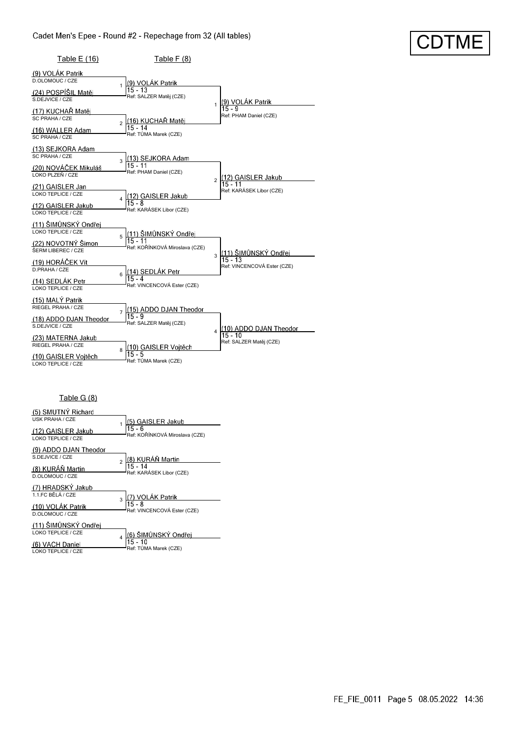| Table E (16)                                                                                                              | Table F (8)                                                                         |                                                                  |
|---------------------------------------------------------------------------------------------------------------------------|-------------------------------------------------------------------------------------|------------------------------------------------------------------|
| (9) VOLÁK Patrik<br>D.OLOMOUC / CZE                                                                                       |                                                                                     |                                                                  |
| (24) POSPÍŠIL Matěj<br>S.DEJVICE / CZE                                                                                    | (9) VOLÁK Patrik<br>$15 - 13$<br>Ref: SALZER Matěj (CZE)                            | (9) VOLÁK Patrik<br>1                                            |
| (17) KUCHAŘ Matěj<br>SC PRAHA / CZE<br>(16) WALLER Adam<br>SC PRAHA / CZE                                                 | <u>(16) KUCHAŘ Matěj</u><br>$\overline{a}$<br>$15 - 14$<br>Ref: TŮMA Marek (CZE)    | $15 - 9$<br>Ref: PHAM Daniel (CZE)                               |
| (13) SEJKORA Adam<br>SC PRAHA / CZE<br>(20) NOVÁČEK Mikuláš<br>LOKO PLZEŇ / CZE<br>(21) GAISLER Jan<br>LOKO TEPLICE / CZE | (13) SEJKORA Adam<br>$\overline{\mathbf{3}}$<br>$15 - 11$<br>Ref: PHAM Daniel (CZE) | (12) GAISLER Jakub<br>$\overline{2}$<br>Ref: KARÁSEK Libor (CZE) |
| (12) GAISLER Jakub<br>LOKO TEPLICE / CZE                                                                                  | <u>(12) GAISLER J</u> akub<br>Ref: KARÁSEK Libor (CZE)                              |                                                                  |
| (11) ŠIMŮNSKÝ Ondřej<br>LOKO TEPLICE / CZE<br>(22) NOVOTNÝ Šimon<br>ŠERM LIBEREC / CZE<br>(19) HORÁČEK Vít                | (11) ŠIMŮNSKÝ Ondřej<br>5<br>$15 - 11$<br>Ref: KOŘÍNKOVÁ Miroslava (CZE)            | <u>(11) ŠIMŮNSKÝ Ondřej</u><br>3<br>$15 - 13$                    |
| D.PRAHA / CZE<br>(14) SEDLÁK Petr<br>LOKO TEPLICE / CZE                                                                   | <u>(14) SEDLÁK P</u> etr<br>6<br>$15 - 4$<br>Ref: VINCENCOVÁ Ester (CZE)            | Ref: VINCENCOVÁ Ester (CZE)                                      |
| (15) MALÝ Patrik<br>RIEGEL PRAHA / CZE<br>(18) ADDO DJAN Theodor<br>S.DEJVICE / CZE                                       | (15) ADDO DJAN Theodor<br>$\overline{7}$<br>$15 - 9$<br>Ref: SALZER Matěj (CZE)     | (10) ADDO DJAN Theodor<br> 15 - 10<br>$\overline{4}$             |
| (23) MATERNA Jakub<br>RIEGEL PRAHA / CZE<br>(10) GAISLER Vojtěch<br>LOKO TEPLICE / CZE                                    | (10) GAISLER Voitěch<br>8<br>15 - 5<br>Ref: TŮMA Marek (CZE)                        | Ref: SALZER Matěj (CZE)                                          |

### Table G (8)

| (5) SMUTNÝ Richard     |                                                |  |
|------------------------|------------------------------------------------|--|
| <b>USK PRAHA / CZE</b> | (5) GAISLER Jakub                              |  |
| (12) GAISLER Jakub     | $15 - 6$<br>Ref: KOŘÍNKOVÁ Miroslava (CZE)     |  |
| LOKO TEPLICE / CZE     |                                                |  |
| (9) ADDO DJAN Theodor  |                                                |  |
| S.DE.JVICE / CZE       | (8) KURÁŇ Martin<br> 15 - 14<br>$\mathfrak{p}$ |  |
| (8) KURÁŇ Martin       | Ref: KARÁSEK Libor (CZE)                       |  |
| D.OLOMOUC / CZE        |                                                |  |
| (7) HRADSKÝ Jakub      |                                                |  |
| 1.1.FC BĚLÁ / CZE      | (7) V <u>OLÁK Patrik</u><br>R                  |  |
| (10) VOLÁK Patrik      | $15 - 8$<br>Ref: VINCENCOVÁ Ester (CZE)        |  |
| D.OLOMOUC / CZE        |                                                |  |
| (11) ŠIMŮNSKÝ Ondřei   |                                                |  |
|                        |                                                |  |
| LOKO TEPLICE / CZE     | (6) ŠIMŮNSKÝ Ondřej                            |  |
| (6) VACH Daniel        | $15 - 10$<br>Ref: TŮMA Marek (CZE)             |  |

CDTME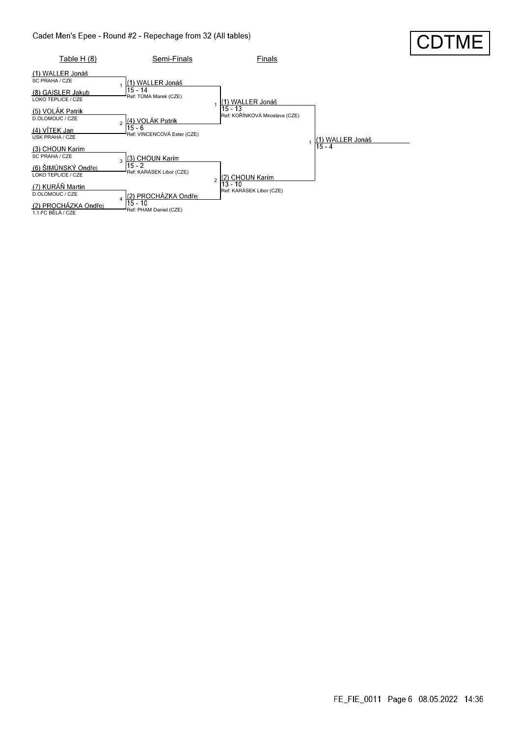

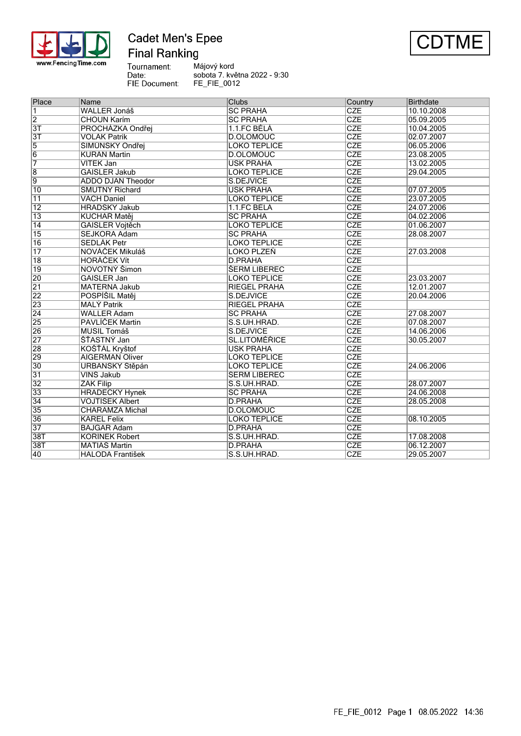

### **Cadet Men's Epee Final Ranking**



Tournament:<br>Date: Májový kord sobota 7. května 2022 - 9:30 FIE Document: FE\_FIE\_0012

| Place           | Name                     | <b>Clubs</b>         | Country                 | <b>Birthdate</b> |  |
|-----------------|--------------------------|----------------------|-------------------------|------------------|--|
| $\overline{1}$  | <b>WALLER Jonáš</b>      | <b>SC PRAHA</b>      | <b>CZE</b>              | 10.10.2008       |  |
| $\overline{2}$  | <b>CHOUN Karím</b>       | <b>SC PRAHA</b>      | <b>CZE</b>              | 05.09.2005       |  |
| $\overline{3T}$ | PROCHÁZKA Ondřej         | 1.1.FC BĚLÁ          | <b>CZE</b>              | 10.04.2005       |  |
| $\overline{3T}$ | <b>VOLÁK Patrik</b>      | <b>D.OLOMOUC</b>     | <b>CZE</b>              | 02.07.2007       |  |
| $\overline{5}$  | ŠIMŮNSKÝ Ondřej          | <b>LOKO TEPLICE</b>  | CZE                     | 06.05.2006       |  |
| $\overline{6}$  | KURÁŇ Martin             | <b>D.OLOMOUC</b>     | CZE                     | 23.08.2005       |  |
| 7               | VİTEK Jan                | <b>USK PRAHA</b>     | <b>CZE</b>              | 13.02.2005       |  |
| $\overline{8}$  | <b>GAISLER Jakub</b>     | <b>LOKO TEPLICE</b>  | <b>CZE</b>              | 29.04.2005       |  |
| $\overline{9}$  | <b>ADDO DJAN Theodor</b> | S.DEJVICE            | <b>CZE</b>              |                  |  |
| $\overline{10}$ | <b>SMUTNÝ Richard</b>    | <b>USK PRAHA</b>     | $\overline{\text{CZE}}$ | 07.07.2005       |  |
| $\overline{11}$ | <b>VACH Daniel</b>       | <b>LOKO TEPLICE</b>  | <b>CZE</b>              | 23.07.2005       |  |
| $\overline{12}$ | HRADSKÝ Jakub            | 1.1.FC BĚLÁ          | <b>CZE</b>              | 24.07.2006       |  |
| $\overline{13}$ | KUCHAŘ Matěj             | <b>SC PRAHA</b>      | <b>CZE</b>              | 04.02.2006       |  |
| 14              | GAISLER Vojtěch          | <b>LOKO TEPLICE</b>  | <b>CZE</b>              | 01.06.2007       |  |
| $\overline{15}$ | SEJKORA Adam             | <b>SC PRAHA</b>      | <b>CZE</b>              | 28.08.2007       |  |
| 16              | <b>SEDLÁK Petr</b>       | <b>LOKO TEPLICE</b>  | <b>CZE</b>              |                  |  |
| $\overline{17}$ | NOVÁČEK Mikuláš          | LOKO PLZEŇ           | <b>CZE</b>              | 27.03.2008       |  |
| $\overline{18}$ | <b>HORÁČEK Vít</b>       | <b>D.PRAHA</b>       | CZE                     |                  |  |
| 19              | NOVOTNÝ Šimon            | <b>ŠERM LIBEREC</b>  | CZE                     |                  |  |
| 20              | GAISLER Jan              | <b>LOKO TEPLICE</b>  | <b>CZE</b>              | 23.03.2007       |  |
| $\overline{21}$ | <b>MATERNA Jakub</b>     | <b>RIEGEL PRAHA</b>  | <b>CZE</b>              | 12.01.2007       |  |
| 22              | POSPÍŠIL Matěj           | S.DEJVICE            | <b>CZE</b>              | 20.04.2006       |  |
| $\overline{23}$ | <b>MALÝ Patrik</b>       | <b>RIEGEL PRAHA</b>  | <b>CZE</b>              |                  |  |
| $\overline{24}$ | <b>WALLER Adam</b>       | <b>SC PRAHA</b>      | <b>CZE</b>              | 27.08.2007       |  |
| 25              | PAVLIČEK Martin          | S.S.UH.HRAD.         | <b>CZE</b>              | 07.08.2007       |  |
| 26              | <b>MUSIL Tomáš</b>       | S.DEJVICE            | $\overline{\text{CZE}}$ | 14.06.2006       |  |
| 27              | <b>STASTNÝ Jan</b>       | <b>SL.LITOMÉŘICE</b> | <b>CZE</b>              | 30.05.2007       |  |
| 28              | KOŠŤÁL Kryštof           | <b>USK PRAHA</b>     | <b>CZE</b>              |                  |  |
| 29              | <b>AIGERMAN Oliver</b>   | <b>LOKO TEPLICE</b>  | CZE                     |                  |  |
| 30              | URBANSKÝ Štěpán          | <b>LOKO TEPLICE</b>  | <b>CZE</b>              | 24.06.2006       |  |
| $\overline{31}$ | VINŠ Jakub               | <b>SERM LIBEREC</b>  | <b>CZE</b>              |                  |  |
| 32              | ŽÁK Filip                | S.S.UH.HRAD.         | <b>CZE</b>              | 28.07.2007       |  |
| 33              | <b>HRADECKÝ Hynek</b>    | <b>SC PRAHA</b>      | CZE                     | 24.06.2008       |  |
| $\overline{34}$ | <b>VOJTISEK Albert</b>   | D.PRAHA              | CZE                     | 28.05.2008       |  |
| 35              | <b>CHARAMZA Michal</b>   | D.OLOMOUC            | CZE                     |                  |  |
| 36              | <b>KAREL Felix</b>       | <b>LOKO TEPLICE</b>  | <b>CZE</b>              | 08.10.2005       |  |
| $\overline{37}$ | <b>BAJGAR Adam</b>       | <b>D.PRAHA</b>       | CZE                     |                  |  |
| 38T             | KOŘÍNEK Robert           | S.S.UH.HRAD.         | <b>CZE</b>              | 17.08.2008       |  |
| 38T             | <b>MATIÁŠ Martin</b>     | <b>D.PRAHA</b>       | <b>CZE</b>              | 06.12.2007       |  |
| 40              | <b>HALODA František</b>  | S.S.UH.HRAD.         | <b>CZE</b>              | 29.05.2007       |  |